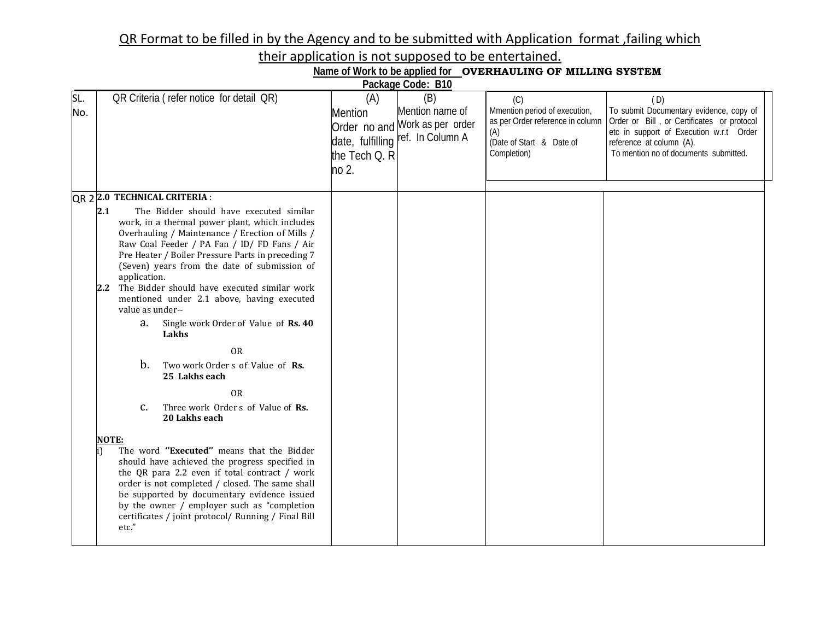## QR Format to be filled in by the Agency and to be submitted with Application format ,failing which

their application is not supposed to be entertained.

| Name of Work to be applied for OVERHAULING OF MILLING SYSTEM                                                                                            |                                                                                                                                                                                                                                                                                                                                                                                                                                                                                                                                                                                                                                                                                                                                                                                                                                                                                                              |                                                 |                                                                                               |                                                                                                                            |                                                                                                                                                                                                              |  |  |
|---------------------------------------------------------------------------------------------------------------------------------------------------------|--------------------------------------------------------------------------------------------------------------------------------------------------------------------------------------------------------------------------------------------------------------------------------------------------------------------------------------------------------------------------------------------------------------------------------------------------------------------------------------------------------------------------------------------------------------------------------------------------------------------------------------------------------------------------------------------------------------------------------------------------------------------------------------------------------------------------------------------------------------------------------------------------------------|-------------------------------------------------|-----------------------------------------------------------------------------------------------|----------------------------------------------------------------------------------------------------------------------------|--------------------------------------------------------------------------------------------------------------------------------------------------------------------------------------------------------------|--|--|
|                                                                                                                                                         |                                                                                                                                                                                                                                                                                                                                                                                                                                                                                                                                                                                                                                                                                                                                                                                                                                                                                                              |                                                 | Package Code: B10                                                                             |                                                                                                                            |                                                                                                                                                                                                              |  |  |
| OR Criteria (refer notice for detail QR)<br>SL.<br>No.                                                                                                  |                                                                                                                                                                                                                                                                                                                                                                                                                                                                                                                                                                                                                                                                                                                                                                                                                                                                                                              | (A)<br><b>Mention</b><br>the Tech Q. R<br>no 2. | (B)<br>Mention name of<br>Order no and Work as per order<br>date, fulfilling ref. In Column A | (C)<br>Mmention period of execution,<br>as per Order reference in column<br>(A)<br>(Date of Start & Date of<br>Completion) | (D)<br>To submit Documentary evidence, copy of<br>Order or Bill, or Certificates or protocol<br>etc in support of Execution w.r.t Order<br>reference at column (A).<br>To mention no of documents submitted. |  |  |
|                                                                                                                                                         |                                                                                                                                                                                                                                                                                                                                                                                                                                                                                                                                                                                                                                                                                                                                                                                                                                                                                                              |                                                 |                                                                                               |                                                                                                                            |                                                                                                                                                                                                              |  |  |
| QR 2 2.0 TECHNICAL CRITERIA :<br>2.1<br>application.<br>value as under--<br>а.<br>Lakhs<br>b.<br>25 Lakhs each<br>c.<br>20 Lakhs each<br>NOTE:<br>etc." | The Bidder should have executed similar<br>work, in a thermal power plant, which includes<br>Overhauling / Maintenance / Erection of Mills /<br>Raw Coal Feeder / PA Fan / ID/ FD Fans / Air<br>Pre Heater / Boiler Pressure Parts in preceding 7<br>(Seven) years from the date of submission of<br>2.2 The Bidder should have executed similar work<br>mentioned under 2.1 above, having executed<br>Single work Order of Value of Rs. 40<br><b>OR</b><br>Two work Order s of Value of Rs.<br>0 <sub>R</sub><br>Three work Order s of Value of Rs.<br>The word "Executed" means that the Bidder<br>should have achieved the progress specified in<br>the QR para 2.2 even if total contract / work<br>order is not completed / closed. The same shall<br>be supported by documentary evidence issued<br>by the owner / employer such as "completion<br>certificates / joint protocol/ Running / Final Bill |                                                 |                                                                                               |                                                                                                                            |                                                                                                                                                                                                              |  |  |